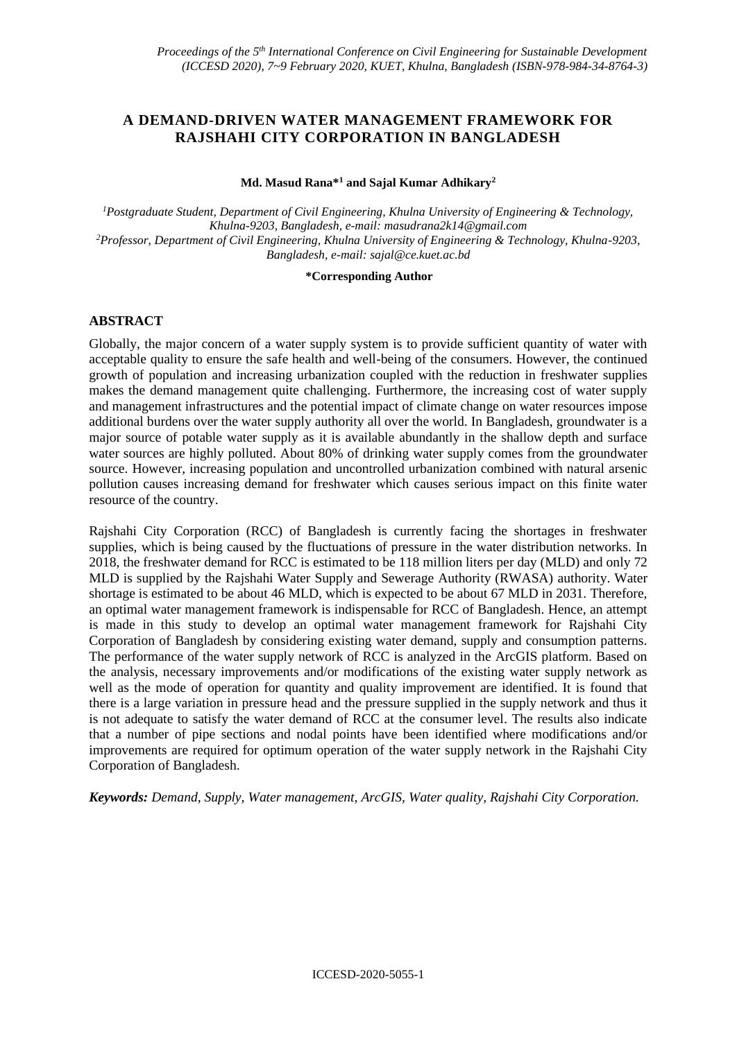# **A DEMAND-DRIVEN WATER MANAGEMENT FRAMEWORK FOR RAJSHAHI CITY CORPORATION IN BANGLADESH**

#### **Md. Masud Rana\*<sup>1</sup> and Sajal Kumar Adhikary<sup>2</sup>**

*<sup>1</sup>Postgraduate Student, Department of Civil Engineering, Khulna University of Engineering & Technology, Khulna-9203, Bangladesh, e-mail[: masudrana2k14@gmail.com](mailto:masudrana2k14@gmail.com)  <sup>2</sup>Professor, Department of Civil Engineering, Khulna University of Engineering & Technology, Khulna-9203, Bangladesh, e-mail: [sajal@ce.kuet.ac.bd](mailto:sajal@ce.kuet.ac.bd)*

#### **\*Corresponding Author**

### **ABSTRACT**

Globally, the major concern of a water supply system is to provide sufficient quantity of water with acceptable quality to ensure the safe health and well-being of the consumers. However, the continued growth of population and increasing urbanization coupled with the reduction in freshwater supplies makes the demand management quite challenging. Furthermore, the increasing cost of water supply and management infrastructures and the potential impact of climate change on water resources impose additional burdens over the water supply authority all over the world. In Bangladesh, groundwater is a major source of potable water supply as it is available abundantly in the shallow depth and surface water sources are highly polluted. About 80% of drinking water supply comes from the groundwater source. However, increasing population and uncontrolled urbanization combined with natural arsenic pollution causes increasing demand for freshwater which causes serious impact on this finite water resource of the country.

Rajshahi City Corporation (RCC) of Bangladesh is currently facing the shortages in freshwater supplies, which is being caused by the fluctuations of pressure in the water distribution networks. In 2018, the freshwater demand for RCC is estimated to be 118 million liters per day (MLD) and only 72 MLD is supplied by the Rajshahi Water Supply and Sewerage Authority (RWASA) authority. Water shortage is estimated to be about 46 MLD, which is expected to be about 67 MLD in 2031. Therefore, an optimal water management framework is indispensable for RCC of Bangladesh. Hence, an attempt is made in this study to develop an optimal water management framework for Rajshahi City Corporation of Bangladesh by considering existing water demand, supply and consumption patterns. The performance of the water supply network of RCC is analyzed in the ArcGIS platform. Based on the analysis, necessary improvements and/or modifications of the existing water supply network as well as the mode of operation for quantity and quality improvement are identified. It is found that there is a large variation in pressure head and the pressure supplied in the supply network and thus it is not adequate to satisfy the water demand of RCC at the consumer level. The results also indicate that a number of pipe sections and nodal points have been identified where modifications and/or improvements are required for optimum operation of the water supply network in the Rajshahi City Corporation of Bangladesh.

*Keywords: Demand, Supply, Water management, ArcGIS, Water quality, Rajshahi City Corporation.*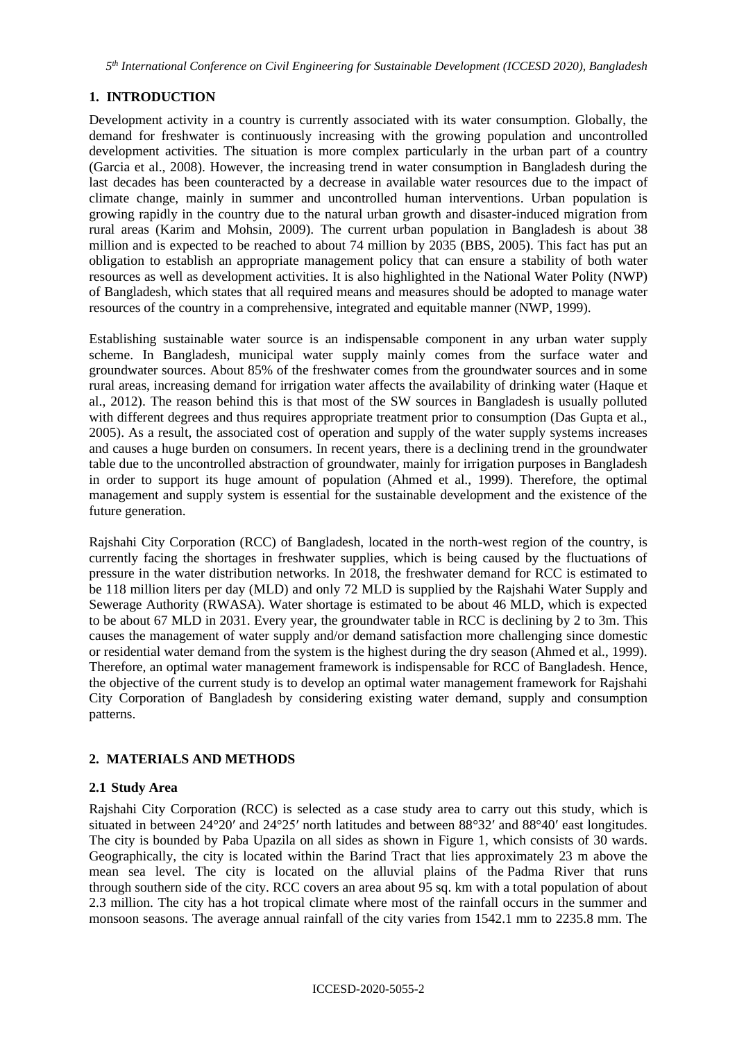*5 th International Conference on Civil Engineering for Sustainable Development (ICCESD 2020), Bangladesh*

# **1. INTRODUCTION**

Development activity in a country is currently associated with its water consumption. Globally, the demand for freshwater is continuously increasing with the growing population and uncontrolled development activities. The situation is more complex particularly in the urban part of a country (Garcia et al., 2008). However, the increasing trend in water consumption in Bangladesh during the last decades has been counteracted by a decrease in available water resources due to the impact of climate change, mainly in summer and uncontrolled human interventions. Urban population is growing rapidly in the country due to the natural urban growth and disaster-induced migration from rural areas (Karim and Mohsin, 2009). The current urban population in Bangladesh is about 38 million and is expected to be reached to about 74 million by 2035 (BBS, 2005). This fact has put an obligation to establish an appropriate management policy that can ensure a stability of both water resources as well as development activities. It is also highlighted in the National Water Polity (NWP) of Bangladesh, which states that all required means and measures should be adopted to manage water resources of the country in a comprehensive, integrated and equitable manner (NWP, 1999).

Establishing sustainable water source is an indispensable component in any urban water supply scheme. In Bangladesh, municipal water supply mainly comes from the surface water and groundwater sources. About 85% of the freshwater comes from the groundwater sources and in some rural areas, increasing demand for irrigation water affects the availability of drinking water (Haque et al., 2012). The reason behind this is that most of the SW sources in Bangladesh is usually polluted with different degrees and thus requires appropriate treatment prior to consumption (Das Gupta et al., 2005). As a result, the associated cost of operation and supply of the water supply systems increases and causes a huge burden on consumers. In recent years, there is a declining trend in the groundwater table due to the uncontrolled abstraction of groundwater, mainly for irrigation purposes in Bangladesh in order to support its huge amount of population (Ahmed et al., 1999). Therefore, the optimal management and supply system is essential for the sustainable development and the existence of the future generation.

Rajshahi City Corporation (RCC) of Bangladesh, located in the north-west region of the country, is currently facing the shortages in freshwater supplies, which is being caused by the fluctuations of pressure in the water distribution networks. In 2018, the freshwater demand for RCC is estimated to be 118 million liters per day (MLD) and only 72 MLD is supplied by the Rajshahi Water Supply and Sewerage Authority (RWASA). Water shortage is estimated to be about 46 MLD, which is expected to be about 67 MLD in 2031. Every year, the groundwater table in RCC is declining by 2 to 3m. This causes the management of water supply and/or demand satisfaction more challenging since domestic or residential water demand from the system is the highest during the dry season (Ahmed et al., 1999). Therefore, an optimal water management framework is indispensable for RCC of Bangladesh. Hence, the objective of the current study is to develop an optimal water management framework for Rajshahi City Corporation of Bangladesh by considering existing water demand, supply and consumption patterns.

## **2. MATERIALS AND METHODS**

## **2.1 Study Area**

Rajshahi City Corporation (RCC) is selected as a case study area to carry out this study, which is situated in between 24°20ʹ and 24°25ʹ north latitudes and between 88°32ʹ and 88°40ʹ east longitudes. The city is bounded by Paba Upazila on all sides as shown in Figure 1, which consists of 30 wards. Geographically, the city is located within the Barind Tract that lies approximately 23 m above the mean sea level. The city is located on the alluvial plains of the Padma River that runs through southern side of the city. RCC covers an area about 95 sq. km with a total population of about 2.3 million. The city has a hot tropical climate where most of the rainfall occurs in the summer and monsoon seasons. The average annual rainfall of the city varies from 1542.1 mm to 2235.8 mm. The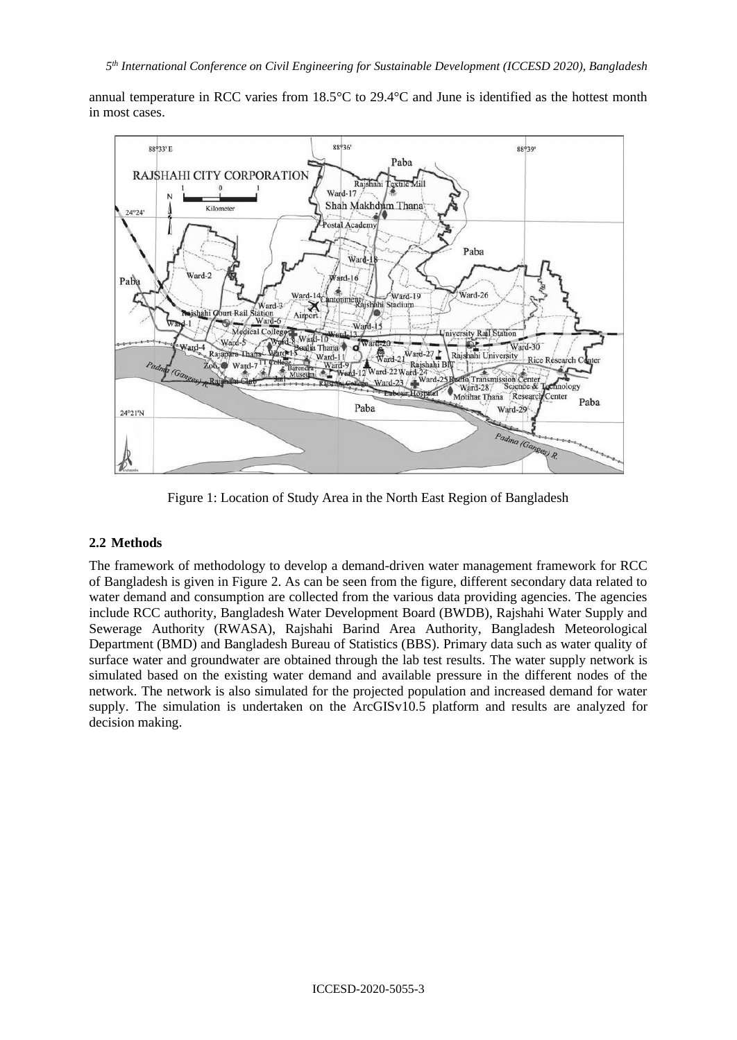annual temperature in RCC varies from 18.5°C to 29.4°C and June is identified as the hottest month in most cases.



Figure 1: Location of Study Area in the North East Region of Bangladesh

#### **2.2 Methods**

The framework of methodology to develop a demand-driven water management framework for RCC of Bangladesh is given in Figure 2. As can be seen from the figure, different secondary data related to water demand and consumption are collected from the various data providing agencies. The agencies include RCC authority, Bangladesh Water Development Board (BWDB), Rajshahi Water Supply and Sewerage Authority (RWASA), Rajshahi Barind Area Authority, Bangladesh Meteorological Department (BMD) and Bangladesh Bureau of Statistics (BBS). Primary data such as water quality of surface water and groundwater are obtained through the lab test results. The water supply network is simulated based on the existing water demand and available pressure in the different nodes of the network. The network is also simulated for the projected population and increased demand for water supply. The simulation is undertaken on the ArcGISv10.5 platform and results are analyzed for decision making.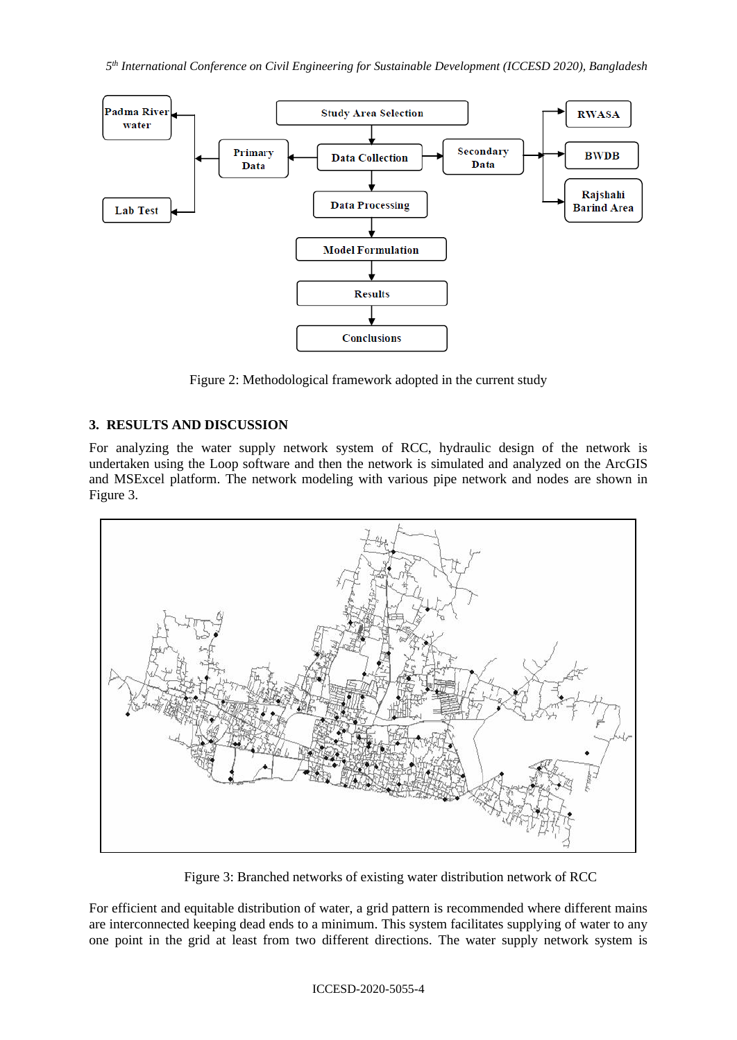

Figure 2: Methodological framework adopted in the current study

# **3. RESULTS AND DISCUSSION**

For analyzing the water supply network system of RCC, hydraulic design of the network is undertaken using the Loop software and then the network is simulated and analyzed on the ArcGIS and MSExcel platform. The network modeling with various pipe network and nodes are shown in Figure 3.



Figure 3: Branched networks of existing water distribution network of RCC

For efficient and equitable distribution of water, a grid pattern is recommended where different mains are interconnected keeping dead ends to a minimum. This system facilitates supplying of water to any one point in the grid at least from two different directions. The water supply network system is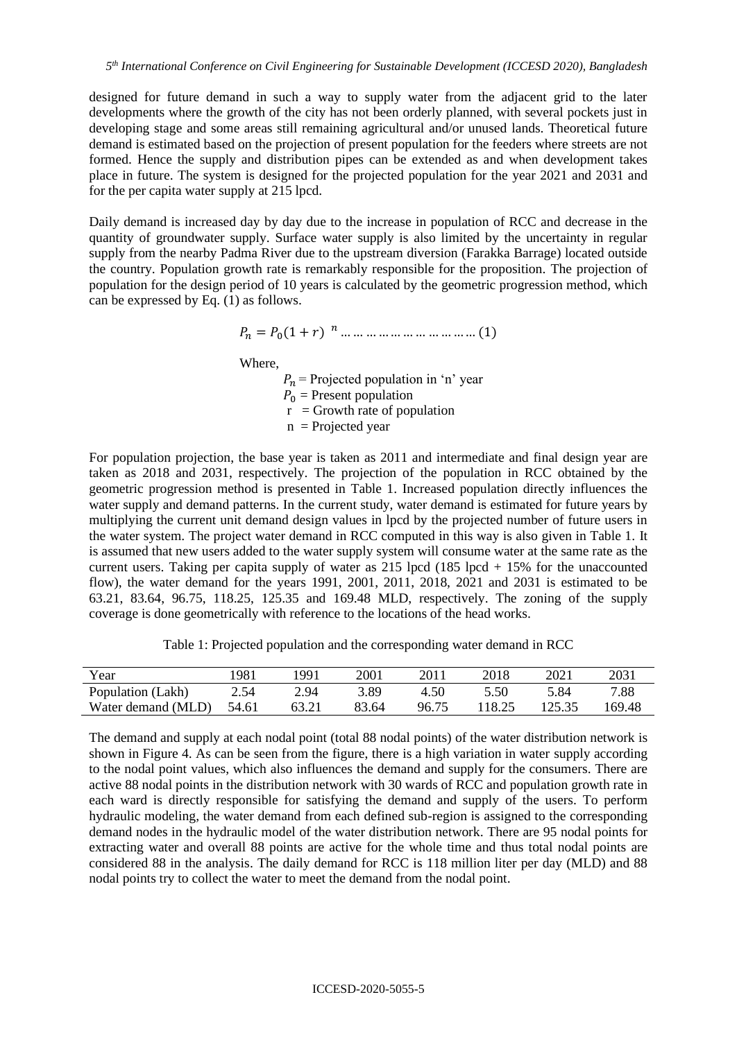designed for future demand in such a way to supply water from the adjacent grid to the later developments where the growth of the city has not been orderly planned, with several pockets just in developing stage and some areas still remaining agricultural and/or unused lands. Theoretical future demand is estimated based on the projection of present population for the feeders where streets are not formed. Hence the supply and distribution pipes can be extended as and when development takes place in future. The system is designed for the projected population for the year 2021 and 2031 and for the per capita water supply at 215 lpcd.

Daily demand is increased day by day due to the increase in population of RCC and decrease in the quantity of groundwater supply. Surface water supply is also limited by the uncertainty in regular supply from the nearby Padma River due to the upstream diversion (Farakka Barrage) located outside the country. Population growth rate is remarkably responsible for the proposition. The projection of population for the design period of 10 years is calculated by the geometric progression method, which can be expressed by Eq. (1) as follows.

$$
P_n = P_0(1+r)^{n} \dots \dots \dots \dots \dots \dots \dots \dots \dots (1)
$$

Where,

 $P_n$  = Projected population in 'n' year  $P_0$  = Present population  $r =$  Growth rate of population  $n$  = Projected year

For population projection, the base year is taken as 2011 and intermediate and final design year are taken as 2018 and 2031, respectively. The projection of the population in RCC obtained by the geometric progression method is presented in Table 1. Increased population directly influences the water supply and demand patterns. In the current study, water demand is estimated for future years by multiplying the current unit demand design values in lpcd by the projected number of future users in the water system. The project water demand in RCC computed in this way is also given in Table 1. It is assumed that new users added to the water supply system will consume water at the same rate as the current users. Taking per capita supply of water as  $215$  lpcd (185 lpcd  $+ 15\%$  for the unaccounted flow), the water demand for the years 1991, 2001, 2011, 2018, 2021 and 2031 is estimated to be 63.21, 83.64, 96.75, 118.25, 125.35 and 169.48 MLD, respectively. The zoning of the supply coverage is done geometrically with reference to the locations of the head works.

Table 1: Projected population and the corresponding water demand in RCC

| Year               | 981   | '991 | 2001  | 2011  | 2018   | 2021   | 2031   |
|--------------------|-------|------|-------|-------|--------|--------|--------|
| Population (Lakh)  | 2.54  | 2.94 | 3.89  | 4.50  | 5.50   | 5.84   | 7.88   |
| Water demand (MLD) | 54.61 |      | 83.64 | 96.75 | 118.25 | 125.35 | 169.48 |

The demand and supply at each nodal point (total 88 nodal points) of the water distribution network is shown in Figure 4. As can be seen from the figure, there is a high variation in water supply according to the nodal point values, which also influences the demand and supply for the consumers. There are active 88 nodal points in the distribution network with 30 wards of RCC and population growth rate in each ward is directly responsible for satisfying the demand and supply of the users. To perform hydraulic modeling, the water demand from each defined sub-region is assigned to the corresponding demand nodes in the hydraulic model of the water distribution network. There are 95 nodal points for extracting water and overall 88 points are active for the whole time and thus total nodal points are considered 88 in the analysis. The daily demand for RCC is 118 million liter per day (MLD) and 88 nodal points try to collect the water to meet the demand from the nodal point.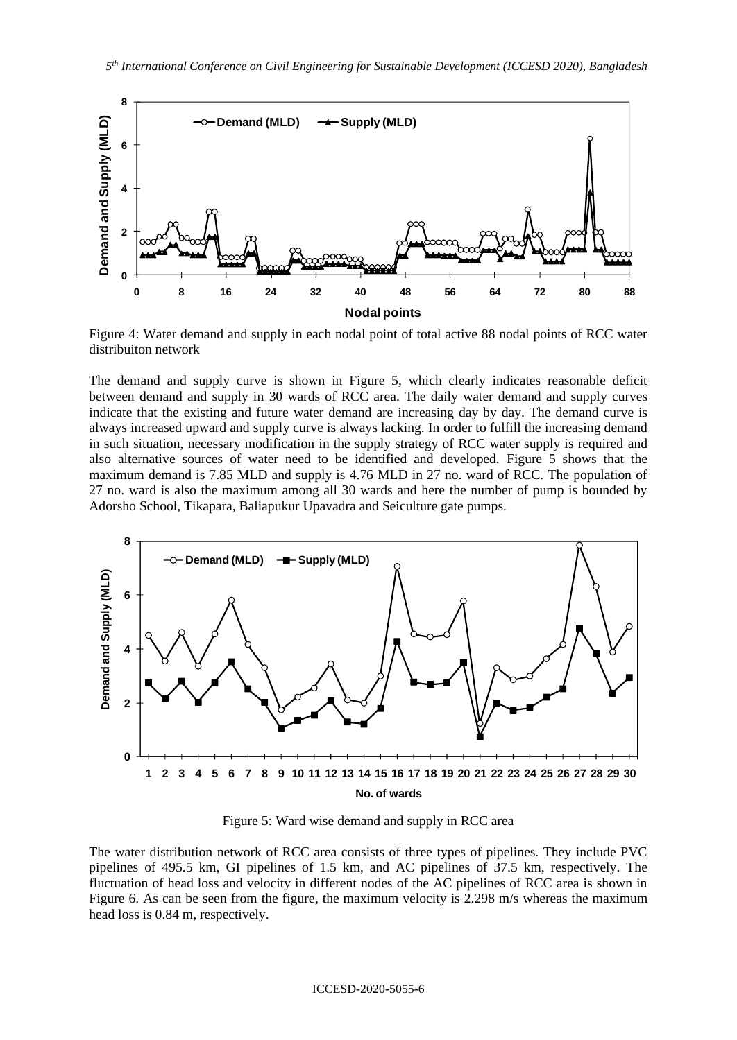

Figure 4: Water demand and supply in each nodal point of total active 88 nodal points of RCC water distribuiton network

The demand and supply curve is shown in Figure 5, which clearly indicates reasonable deficit between demand and supply in 30 wards of RCC area. The daily water demand and supply curves indicate that the existing and future water demand are increasing day by day. The demand curve is always increased upward and supply curve is always lacking. In order to fulfill the increasing demand in such situation, necessary modification in the supply strategy of RCC water supply is required and also alternative sources of water need to be identified and developed. Figure 5 shows that the maximum demand is 7.85 MLD and supply is 4.76 MLD in 27 no. ward of RCC. The population of 27 no. ward is also the maximum among all 30 wards and here the number of pump is bounded by Adorsho School, Tikapara, Baliapukur Upavadra and Seiculture gate pumps.



Figure 5: Ward wise demand and supply in RCC area

The water distribution network of RCC area consists of three types of pipelines. They include PVC pipelines of 495.5 km, GI pipelines of 1.5 km, and AC pipelines of 37.5 km, respectively. The fluctuation of head loss and velocity in different nodes of the AC pipelines of RCC area is shown in Figure 6. As can be seen from the figure, the maximum velocity is 2.298 m/s whereas the maximum head loss is 0.84 m, respectively.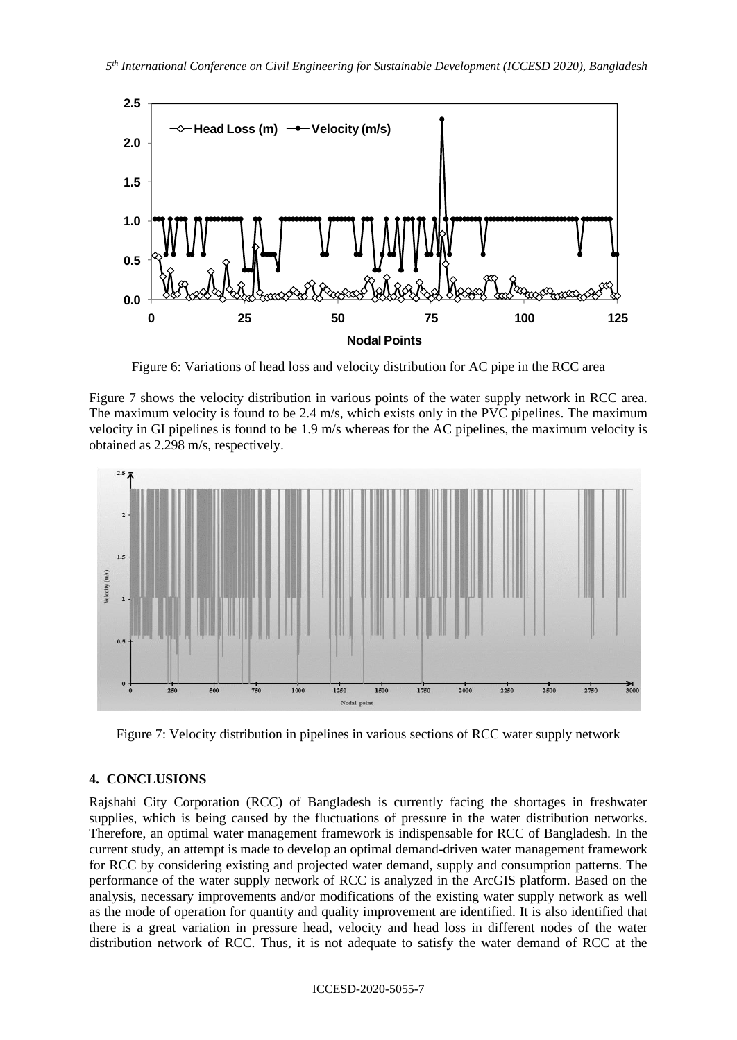

Figure 6: Variations of head loss and velocity distribution for AC pipe in the RCC area

Figure 7 shows the velocity distribution in various points of the water supply network in RCC area. The maximum velocity is found to be 2.4 m/s, which exists only in the PVC pipelines. The maximum velocity in GI pipelines is found to be 1.9 m/s whereas for the AC pipelines, the maximum velocity is obtained as 2.298 m/s, respectively.



Figure 7: Velocity distribution in pipelines in various sections of RCC water supply network

## **4. CONCLUSIONS**

Rajshahi City Corporation (RCC) of Bangladesh is currently facing the shortages in freshwater supplies, which is being caused by the fluctuations of pressure in the water distribution networks. Therefore, an optimal water management framework is indispensable for RCC of Bangladesh. In the current study, an attempt is made to develop an optimal demand-driven water management framework for RCC by considering existing and projected water demand, supply and consumption patterns. The performance of the water supply network of RCC is analyzed in the ArcGIS platform. Based on the analysis, necessary improvements and/or modifications of the existing water supply network as well as the mode of operation for quantity and quality improvement are identified. It is also identified that there is a great variation in pressure head, velocity and head loss in different nodes of the water distribution network of RCC. Thus, it is not adequate to satisfy the water demand of RCC at the